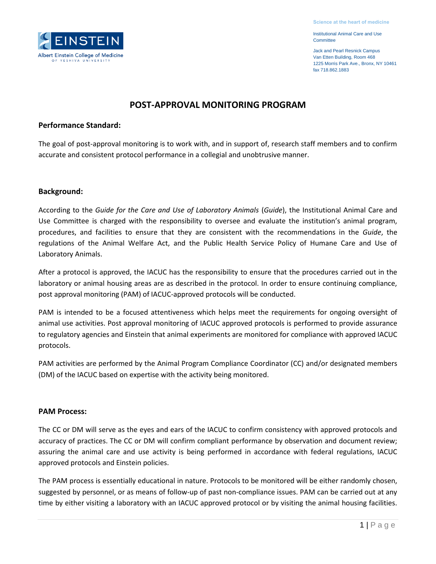Jack and Pearl Resnick Campus Van Etten Building, Room 468 1225 Morris Park Ave., Bronx, NY 10461 fax 718.862.1883

# **POST-APPROVAL MONITORING PROGRAM**

### **Performance Standard:**

The goal of post-approval monitoring is to work with, and in support of, research staff members and to confirm accurate and consistent protocol performance in a collegial and unobtrusive manner.

## **Background:**

According to the *Guide for the Care and Use of Laboratory Animals* (*Guide*), the Institutional Animal Care and Use Committee is charged with the responsibility to oversee and evaluate the institution's animal program, procedures, and facilities to ensure that they are consistent with the recommendations in the *Guide*, the regulations of the Animal Welfare Act, and the Public Health Service Policy of Humane Care and Use of Laboratory Animals.

After a protocol is approved, the IACUC has the responsibility to ensure that the procedures carried out in the laboratory or animal housing areas are as described in the protocol. In order to ensure continuing compliance, post approval monitoring (PAM) of IACUC-approved protocols will be conducted.

PAM is intended to be a focused attentiveness which helps meet the requirements for ongoing oversight of animal use activities. Post approval monitoring of IACUC approved protocols is performed to provide assurance to regulatory agencies and Einstein that animal experiments are monitored for compliance with approved IACUC protocols.

PAM activities are performed by the Animal Program Compliance Coordinator (CC) and/or designated members (DM) of the IACUC based on expertise with the activity being monitored.

### **PAM Process:**

The CC or DM will serve as the eyes and ears of the IACUC to confirm consistency with approved protocols and accuracy of practices. The CC or DM will confirm compliant performance by observation and document review; assuring the animal care and use activity is being performed in accordance with federal regulations, IACUC approved protocols and Einstein policies.

The PAM process is essentially educational in nature. Protocols to be monitored will be either randomly chosen, suggested by personnel, or as means of follow-up of past non-compliance issues. PAM can be carried out at any time by either visiting a laboratory with an IACUC approved protocol or by visiting the animal housing facilities.

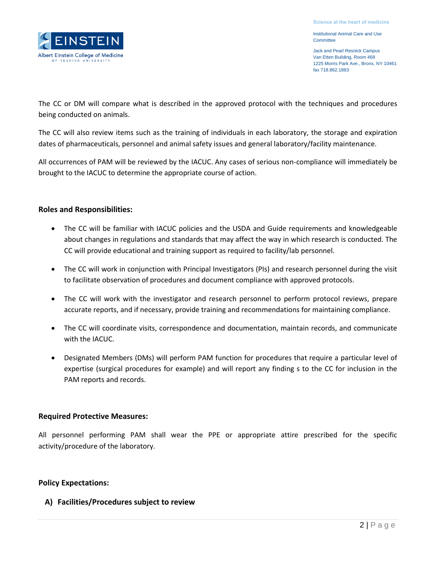Jack and Pearl Resnick Campus Van Etten Building, Room 468 1225 Morris Park Ave., Bronx, NY 10461 fax 718.862.1883

Albert Einstein College of Medicine

The CC or DM will compare what is described in the approved protocol with the techniques and procedures being conducted on animals.

The CC will also review items such as the training of individuals in each laboratory, the storage and expiration dates of pharmaceuticals, personnel and animal safety issues and general laboratory/facility maintenance.

All occurrences of PAM will be reviewed by the IACUC. Any cases of serious non-compliance will immediately be brought to the IACUC to determine the appropriate course of action.

## **Roles and Responsibilities:**

- The CC will be familiar with IACUC policies and the USDA and Guide requirements and knowledgeable about changes in regulations and standards that may affect the way in which research is conducted. The CC will provide educational and training support as required to facility/lab personnel.
- The CC will work in conjunction with Principal Investigators (PIs) and research personnel during the visit to facilitate observation of procedures and document compliance with approved protocols.
- The CC will work with the investigator and research personnel to perform protocol reviews, prepare accurate reports, and if necessary, provide training and recommendations for maintaining compliance.
- The CC will coordinate visits, correspondence and documentation, maintain records, and communicate with the IACUC.
- Designated Members (DMs) will perform PAM function for procedures that require a particular level of expertise (surgical procedures for example) and will report any finding s to the CC for inclusion in the PAM reports and records.

## **Required Protective Measures:**

All personnel performing PAM shall wear the PPE or appropriate attire prescribed for the specific activity/procedure of the laboratory.

## **Policy Expectations:**

## **A) Facilities/Procedures subject to review**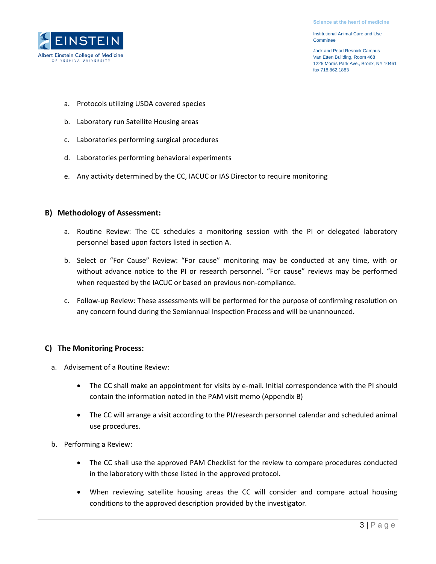Jack and Pearl Resnick Campus Van Etten Building, Room 468 1225 Morris Park Ave., Bronx, NY 10461 fax 718.862.1883



- a. Protocols utilizing USDA covered species
- b. Laboratory run Satellite Housing areas
- c. Laboratories performing surgical procedures
- d. Laboratories performing behavioral experiments
- e. Any activity determined by the CC, IACUC or IAS Director to require monitoring

### **B) Methodology of Assessment:**

- a. Routine Review: The CC schedules a monitoring session with the PI or delegated laboratory personnel based upon factors listed in section A.
- b. Select or "For Cause" Review: "For cause" monitoring may be conducted at any time, with or without advance notice to the PI or research personnel. "For cause" reviews may be performed when requested by the IACUC or based on previous non-compliance.
- c. Follow-up Review: These assessments will be performed for the purpose of confirming resolution on any concern found during the Semiannual Inspection Process and will be unannounced.

## **C) The Monitoring Process:**

- a. Advisement of a Routine Review:
	- The CC shall make an appointment for visits by e-mail. Initial correspondence with the PI should contain the information noted in the PAM visit memo (Appendix B)
	- The CC will arrange a visit according to the PI/research personnel calendar and scheduled animal use procedures.
- b. Performing a Review:
	- The CC shall use the approved PAM Checklist for the review to compare procedures conducted in the laboratory with those listed in the approved protocol.
	- When reviewing satellite housing areas the CC will consider and compare actual housing conditions to the approved description provided by the investigator.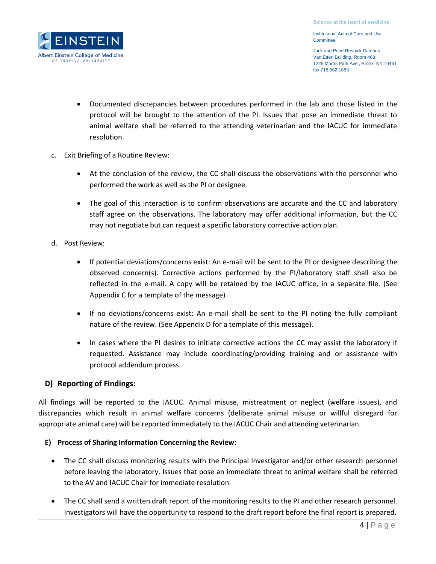Jack and Pearl Resnick Campus Van Etten Building, Room 468 1225 Morris Park Ave., Bronx, NY 10461 fax 718.862.1883

- Documented discrepancies between procedures performed in the lab and those listed in the protocol will be brought to the attention of the PI. Issues that pose an immediate threat to animal welfare shall be referred to the attending veterinarian and the IACUC for immediate resolution.
- c. Exit Briefing of a Routine Review:
	- At the conclusion of the review, the CC shall discuss the observations with the personnel who performed the work as well as the PI or designee.
	- The goal of this interaction is to confirm observations are accurate and the CC and laboratory staff agree on the observations. The laboratory may offer additional information, but the CC may not negotiate but can request a specific laboratory corrective action plan.
- d. Post Review:

Albert Einstein College of Medicine

- If potential deviations/concerns exist: An e-mail will be sent to the PI or designee describing the observed concern(s). Corrective actions performed by the PI/laboratory staff shall also be reflected in the e-mail. A copy will be retained by the IACUC office, in a separate file. (See Appendix C for a template of the message)
- If no deviations/concerns exist: An e-mail shall be sent to the PI noting the fully compliant nature of the review. (See Appendix D for a template of this message).
- In cases where the PI desires to initiate corrective actions the CC may assist the laboratory if requested. Assistance may include coordinating/providing training and or assistance with protocol addendum process.

### **D) Reporting of Findings:**

All findings will be reported to the IACUC. Animal misuse, mistreatment or neglect (welfare issues), and discrepancies which result in animal welfare concerns (deliberate animal misuse or willful disregard for appropriate animal care) will be reported immediately to the IACUC Chair and attending veterinarian.

### **E) Process of Sharing Information Concerning the Review**:

- The CC shall discuss monitoring results with the Principal Investigator and/or other research personnel before leaving the laboratory. Issues that pose an immediate threat to animal welfare shall be referred to the AV and IACUC Chair for immediate resolution.
- The CC shall send a written draft report of the monitoring results to the PI and other research personnel. Investigators will have the opportunity to respond to the draft report before the final report is prepared.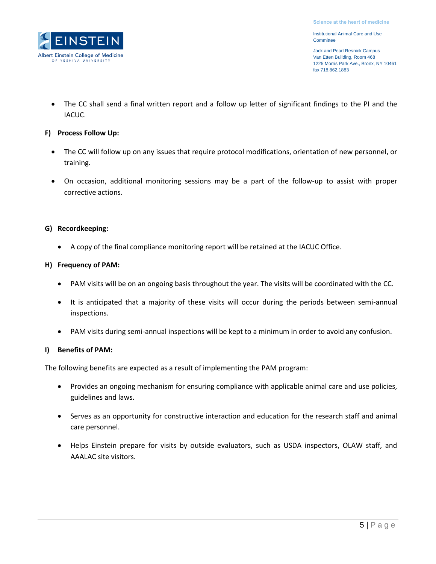Jack and Pearl Resnick Campus Van Etten Building, Room 468 1225 Morris Park Ave., Bronx, NY 10461 fax 718.862.1883

• The CC shall send a final written report and a follow up letter of significant findings to the PI and the IACUC.

### **F) Process Follow Up:**

INST

Albert Einstein College of Medicine YESHIVA

- The CC will follow up on any issues that require protocol modifications, orientation of new personnel, or training.
- On occasion, additional monitoring sessions may be a part of the follow-up to assist with proper corrective actions.

### **G) Recordkeeping:**

A copy of the final compliance monitoring report will be retained at the IACUC Office.

### **H) Frequency of PAM:**

- PAM visits will be on an ongoing basis throughout the year. The visits will be coordinated with the CC.
- It is anticipated that a majority of these visits will occur during the periods between semi-annual inspections.
- PAM visits during semi-annual inspections will be kept to a minimum in order to avoid any confusion.

### **I) Benefits of PAM:**

The following benefits are expected as a result of implementing the PAM program:

- Provides an ongoing mechanism for ensuring compliance with applicable animal care and use policies, guidelines and laws.
- Serves as an opportunity for constructive interaction and education for the research staff and animal care personnel.
- Helps Einstein prepare for visits by outside evaluators, such as USDA inspectors, OLAW staff, and AAALAC site visitors.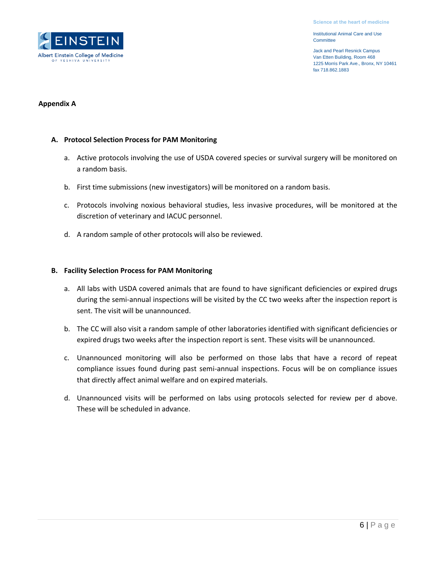Jack and Pearl Resnick Campus Van Etten Building, Room 468 1225 Morris Park Ave., Bronx, NY 10461 fax 718.862.1883



### **Appendix A**

### **A. Protocol Selection Process for PAM Monitoring**

- a. Active protocols involving the use of USDA covered species or survival surgery will be monitored on a random basis.
- b. First time submissions (new investigators) will be monitored on a random basis.
- c. Protocols involving noxious behavioral studies, less invasive procedures, will be monitored at the discretion of veterinary and IACUC personnel.
- d. A random sample of other protocols will also be reviewed.

### **B. Facility Selection Process for PAM Monitoring**

- a. All labs with USDA covered animals that are found to have significant deficiencies or expired drugs during the semi-annual inspections will be visited by the CC two weeks after the inspection report is sent. The visit will be unannounced.
- b. The CC will also visit a random sample of other laboratories identified with significant deficiencies or expired drugs two weeks after the inspection report is sent. These visits will be unannounced.
- c. Unannounced monitoring will also be performed on those labs that have a record of repeat compliance issues found during past semi-annual inspections. Focus will be on compliance issues that directly affect animal welfare and on expired materials.
- d. Unannounced visits will be performed on labs using protocols selected for review per d above. These will be scheduled in advance.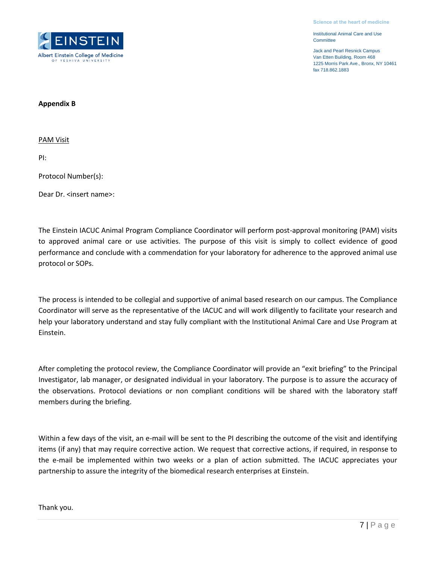Jack and Pearl Resnick Campus Van Etten Building, Room 468 1225 Morris Park Ave., Bronx, NY 10461 fax 718.862.1883



#### **Appendix B**

PAM Visit

PI:

Protocol Number(s):

Dear Dr. <insert name>:

The Einstein IACUC Animal Program Compliance Coordinator will perform post-approval monitoring (PAM) visits to approved animal care or use activities. The purpose of this visit is simply to collect evidence of good performance and conclude with a commendation for your laboratory for adherence to the approved animal use protocol or SOPs.

The process is intended to be collegial and supportive of animal based research on our campus. The Compliance Coordinator will serve as the representative of the IACUC and will work diligently to facilitate your research and help your laboratory understand and stay fully compliant with the Institutional Animal Care and Use Program at Einstein.

After completing the protocol review, the Compliance Coordinator will provide an "exit briefing" to the Principal Investigator, lab manager, or designated individual in your laboratory. The purpose is to assure the accuracy of the observations. Protocol deviations or non compliant conditions will be shared with the laboratory staff members during the briefing.

Within a few days of the visit, an e-mail will be sent to the PI describing the outcome of the visit and identifying items (if any) that may require corrective action. We request that corrective actions, if required, in response to the e-mail be implemented within two weeks or a plan of action submitted. The IACUC appreciates your partnership to assure the integrity of the biomedical research enterprises at Einstein.

Thank you.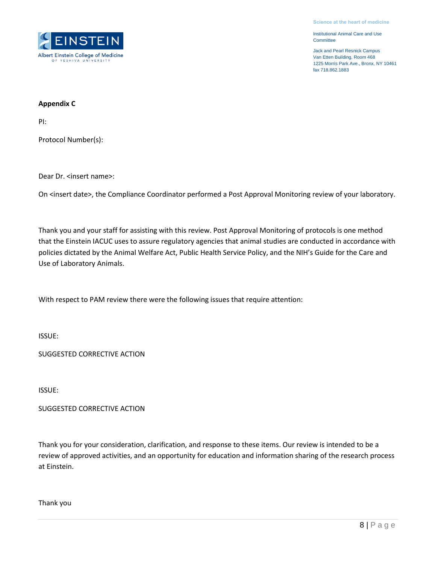Jack and Pearl Resnick Campus Van Etten Building, Room 468 1225 Morris Park Ave., Bronx, NY 10461 fax 718.862.1883



#### **Appendix C**

PI:

Protocol Number(s):

Dear Dr. <insert name>:

On <insert date>, the Compliance Coordinator performed a Post Approval Monitoring review of your laboratory.

Thank you and your staff for assisting with this review. Post Approval Monitoring of protocols is one method that the Einstein IACUC uses to assure regulatory agencies that animal studies are conducted in accordance with policies dictated by the Animal Welfare Act, Public Health Service Policy, and the NIH's Guide for the Care and Use of Laboratory Animals.

With respect to PAM review there were the following issues that require attention:

ISSUE:

SUGGESTED CORRECTIVE ACTION

ISSUE:

SUGGESTED CORRECTIVE ACTION

Thank you for your consideration, clarification, and response to these items. Our review is intended to be a review of approved activities, and an opportunity for education and information sharing of the research process at Einstein.

Thank you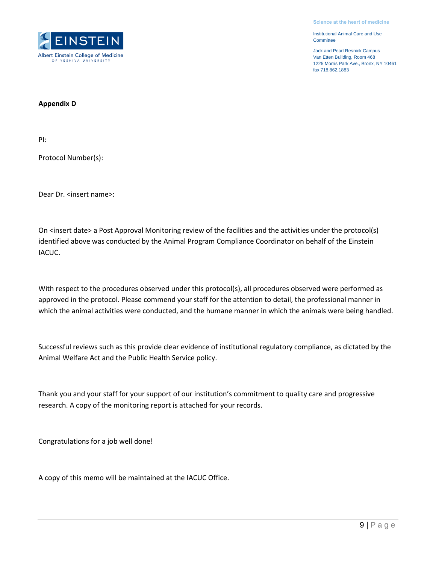Jack and Pearl Resnick Campus Van Etten Building, Room 468 1225 Morris Park Ave., Bronx, NY 10461 fax 718.862.1883



#### **Appendix D**

PI:

Protocol Number(s):

Dear Dr. <insert name>:

On <insert date> a Post Approval Monitoring review of the facilities and the activities under the protocol(s) identified above was conducted by the Animal Program Compliance Coordinator on behalf of the Einstein IACUC.

With respect to the procedures observed under this protocol(s), all procedures observed were performed as approved in the protocol. Please commend your staff for the attention to detail, the professional manner in which the animal activities were conducted, and the humane manner in which the animals were being handled.

Successful reviews such as this provide clear evidence of institutional regulatory compliance, as dictated by the Animal Welfare Act and the Public Health Service policy.

Thank you and your staff for your support of our institution's commitment to quality care and progressive research. A copy of the monitoring report is attached for your records.

Congratulations for a job well done!

A copy of this memo will be maintained at the IACUC Office.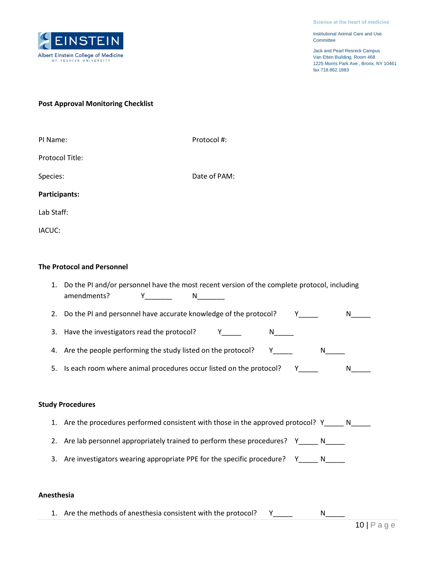

Jack and Pearl Resnick Campus Van Etten Building, Room 468 1225 Morris Park Ave., Bronx, NY 10461 fax 718.862.1883

#### **Post Approval Monitoring Checklist**

| PI Name:        | Protocol #:  |
|-----------------|--------------|
| Protocol Title: |              |
| Species:        | Date of PAM: |
| Participants:   |              |
| Lab Staff:      |              |
| IACUC:          |              |

### **The Protocol and Personnel**

|                         | Do the PI and/or personnel have the most recent version of the complete protocol, including<br>amendments?<br>N |  |  |  |  |  |  |
|-------------------------|-----------------------------------------------------------------------------------------------------------------|--|--|--|--|--|--|
|                         | 2. Do the PI and personnel have accurate knowledge of the protocol?                                             |  |  |  |  |  |  |
|                         | 3. Have the investigators read the protocol?<br>N.                                                              |  |  |  |  |  |  |
|                         | 4. Are the people performing the study listed on the protocol?                                                  |  |  |  |  |  |  |
|                         | 5. Is each room where animal procedures occur listed on the protocol?                                           |  |  |  |  |  |  |
|                         |                                                                                                                 |  |  |  |  |  |  |
| <b>Study Procedures</b> |                                                                                                                 |  |  |  |  |  |  |

- 1. Are the procedures performed consistent with those in the approved protocol? Y\_\_\_\_\_ N\_\_\_\_\_
- 2. Are lab personnel appropriately trained to perform these procedures? Y\_\_\_\_\_ N\_\_\_\_\_
- 3. Are investigators wearing appropriate PPE for the specific procedure? Y\_\_\_\_\_ N\_\_\_\_

### **Anesthesia**

1. Are the methods of anesthesia consistent with the protocol? Y\_\_\_\_\_ N\_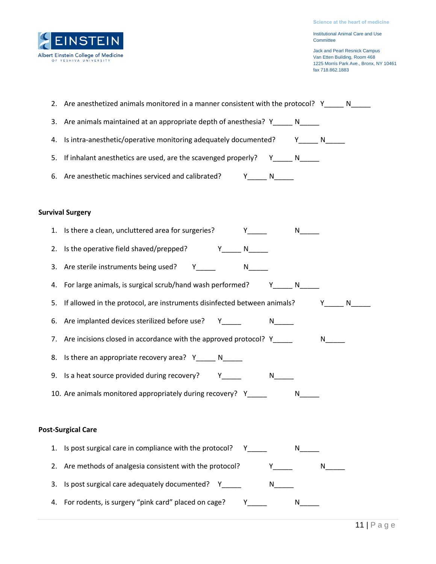

Jack and Pearl Resnick Campus Van Etten Building, Room 468 1225 Morris Park Ave., Bronx, NY 10461 fax 718.862.1883

|                         | 2. Are anesthetized animals monitored in a manner consistent with the protocol? Y_____ N_____                                                                                                                                                                                               |                |          |  |  |  |  |  |
|-------------------------|---------------------------------------------------------------------------------------------------------------------------------------------------------------------------------------------------------------------------------------------------------------------------------------------|----------------|----------|--|--|--|--|--|
| 3.                      | Are animals maintained at an appropriate depth of anesthesia? Y______ N_____                                                                                                                                                                                                                |                |          |  |  |  |  |  |
| 4.                      | Is intra-anesthetic/operative monitoring adequately documented? Y_____ N_____                                                                                                                                                                                                               |                |          |  |  |  |  |  |
|                         | 5. If inhalant anesthetics are used, are the scavenged properly? Y_______ N______                                                                                                                                                                                                           |                |          |  |  |  |  |  |
|                         | 6. Are anesthetic machines serviced and calibrated? Y______ N_____                                                                                                                                                                                                                          |                |          |  |  |  |  |  |
|                         |                                                                                                                                                                                                                                                                                             |                |          |  |  |  |  |  |
| <b>Survival Surgery</b> |                                                                                                                                                                                                                                                                                             |                |          |  |  |  |  |  |
|                         | 1. Is there a clean, uncluttered area for surgeries? Y_____                                                                                                                                                                                                                                 |                |          |  |  |  |  |  |
|                         | 2. Is the operative field shaved/prepped? Y N                                                                                                                                                                                                                                               |                |          |  |  |  |  |  |
|                         |                                                                                                                                                                                                                                                                                             |                |          |  |  |  |  |  |
|                         | 4. For large animals, is surgical scrub/hand wash performed? Y______ N__________                                                                                                                                                                                                            |                |          |  |  |  |  |  |
|                         | 5. If allowed in the protocol, are instruments disinfected between animals? The Music Music                                                                                                                                                                                                 |                |          |  |  |  |  |  |
|                         | 6. Are implanted devices sterilized before use? Y_____                                                                                                                                                                                                                                      |                |          |  |  |  |  |  |
| 7.                      | Are incisions closed in accordance with the approved protocol? Y_____                                                                                                                                                                                                                       |                | $N \sim$ |  |  |  |  |  |
|                         | 8. Is there an appropriate recovery area? Y_____ N_____                                                                                                                                                                                                                                     |                |          |  |  |  |  |  |
|                         | 9. Is a heat source provided during recovery? Y_____<br>$N$ and $N$                                                                                                                                                                                                                         |                |          |  |  |  |  |  |
|                         | 10. Are animals monitored appropriately during recovery? Y____                                                                                                                                                                                                                              | N <sub>2</sub> |          |  |  |  |  |  |
|                         |                                                                                                                                                                                                                                                                                             |                |          |  |  |  |  |  |
|                         | <b>Post-Surgical Care</b>                                                                                                                                                                                                                                                                   |                |          |  |  |  |  |  |
|                         | 1. Is post surgical care in compliance with the protocol?<br>Y and the state of the state of the state of the state of the state of the state of the state of the state of the state of the state of the state of the state of the state of the state of the state of the state of the stat | N,             |          |  |  |  |  |  |
| 2.                      | Are methods of analgesia consistent with the protocol?<br>Y.                                                                                                                                                                                                                                |                | N.       |  |  |  |  |  |
| 3.                      | Is post surgical care adequately documented? Y<br>N i                                                                                                                                                                                                                                       |                |          |  |  |  |  |  |
| 4.                      | For rodents, is surgery "pink card" placed on cage?<br>Y.                                                                                                                                                                                                                                   | N              |          |  |  |  |  |  |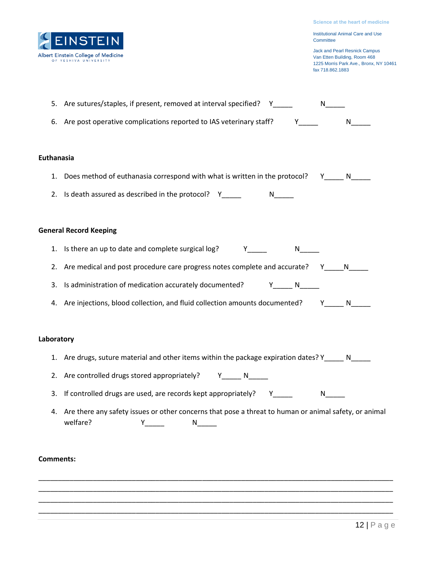

Jack and Pearl Resnick Campus Van Etten Building, Room 468 1225 Morris Park Ave., Bronx, NY 10461 fax 718.862.1883

| 5. Are sutures/staples, if present, removed at interval specified?    | N |
|-----------------------------------------------------------------------|---|
| 6. Are post operative complications reported to IAS veterinary staff? | N |

#### **Euthanasia**

- 1. Does method of euthanasia correspond with what is written in the protocol? Y\_\_\_\_\_ N\_\_\_\_\_
- 2. Is death assured as described in the protocol?  $Y_{\text{max}}$   $N_{\text{max}}$

#### **General Record Keeping**

- 1. Is there an up to date and complete surgical log? The Manus Number of Number 2012 Number 2013
- 2. Are medical and post procedure care progress notes complete and accurate? Y\_\_\_\_\_N\_\_\_\_\_
- 3. Is administration of medication accurately documented? Y\_\_\_\_\_ N\_\_\_\_\_
- 4. Are injections, blood collection, and fluid collection amounts documented? Y\_\_\_\_\_ N\_\_\_\_\_

#### **Laboratory**

- 1. Are drugs, suture material and other items within the package expiration dates? Y\_\_\_\_\_ N\_\_\_\_
- 2. Are controlled drugs stored appropriately? Y\_\_\_\_\_ N\_\_\_\_\_
- 3. If controlled drugs are used, are records kept appropriately? Y\_\_\_\_\_ M\_\_\_\_
- 4. Are there any safety issues or other concerns that pose a threat to human or animal safety, or animal welfare? Y\_\_\_\_\_ N\_\_\_\_\_

\_\_\_\_\_\_\_\_\_\_\_\_\_\_\_\_\_\_\_\_\_\_\_\_\_\_\_\_\_\_\_\_\_\_\_\_\_\_\_\_\_\_\_\_\_\_\_\_\_\_\_\_\_\_\_\_\_\_\_\_\_\_\_\_\_\_\_\_\_\_\_\_\_\_\_\_\_\_\_\_\_\_\_\_\_\_\_\_\_\_\_ \_\_\_\_\_\_\_\_\_\_\_\_\_\_\_\_\_\_\_\_\_\_\_\_\_\_\_\_\_\_\_\_\_\_\_\_\_\_\_\_\_\_\_\_\_\_\_\_\_\_\_\_\_\_\_\_\_\_\_\_\_\_\_\_\_\_\_\_\_\_\_\_\_\_\_\_\_\_\_\_\_\_\_\_\_\_\_\_\_\_\_ \_\_\_\_\_\_\_\_\_\_\_\_\_\_\_\_\_\_\_\_\_\_\_\_\_\_\_\_\_\_\_\_\_\_\_\_\_\_\_\_\_\_\_\_\_\_\_\_\_\_\_\_\_\_\_\_\_\_\_\_\_\_\_\_\_\_\_\_\_\_\_\_\_\_\_\_\_\_\_\_\_\_\_\_\_\_\_\_\_\_\_ \_\_\_\_\_\_\_\_\_\_\_\_\_\_\_\_\_\_\_\_\_\_\_\_\_\_\_\_\_\_\_\_\_\_\_\_\_\_\_\_\_\_\_\_\_\_\_\_\_\_\_\_\_\_\_\_\_\_\_\_\_\_\_\_\_\_\_\_\_\_\_\_\_\_\_\_\_\_\_\_\_\_\_\_\_\_\_\_\_\_\_

#### **Comments:**